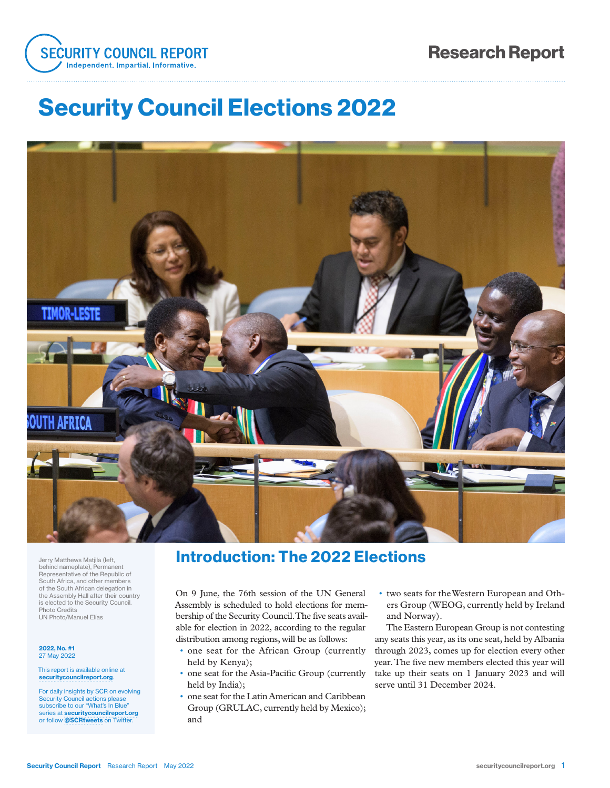

# Security Council Elections 2022



Jerry Matthews Matjila (left, behind nameplate), Permanent Representative of the Republic of South Africa, and other members of the South African delegation in the Assembly Hall after their country is elected to the Security Council. Photo Credits UN Photo/Manuel Elías

#### 2022, No. #1 27 May 2022

This report is available online at securitycouncilreport.org.

For daily insights by SCR on evolving Security Council actions ple subscribe to our "What's In Blue" series at securitycouncilreport.org or follow @SCRtweets on Twitter.

### Introduction: The 2022 Elections

On 9 June, the 76th session of the UN General Assembly is scheduled to hold elections for membership of the Security Council. The five seats available for election in 2022, according to the regular distribution among regions, will be as follows:

- one seat for the African Group (currently held by Kenya);
- one seat for the Asia-Pacific Group (currently held by India);
- one seat for the Latin American and Caribbean Group (GRULAC, currently held by Mexico); and
- two seats for the Western European and Others Group (WEOG, currently held by Ireland and Norway).

The Eastern European Group is not contesting any seats this year, as its one seat, held by Albania through 2023, comes up for election every other year. The five new members elected this year will take up their seats on 1 January 2023 and will serve until 31 December 2024.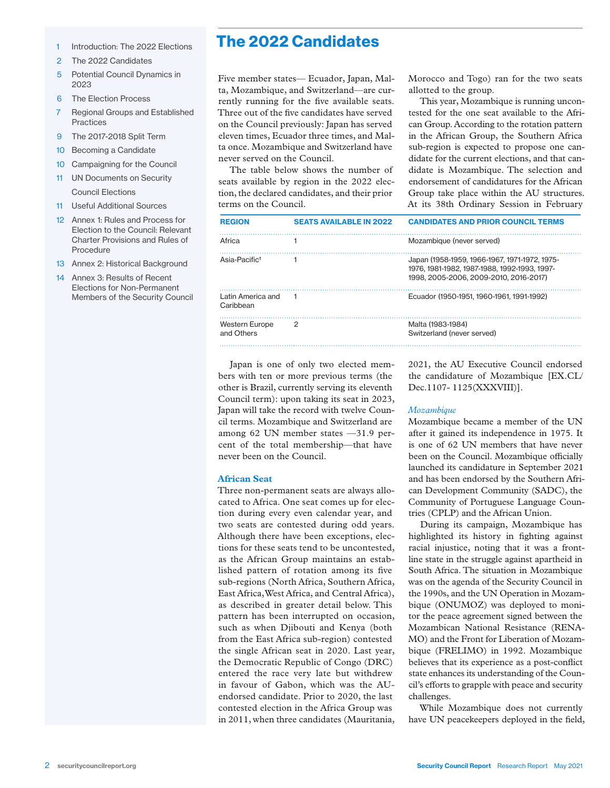- 1 Introduction: The 2022 Elections
- 2 The 2022 Candidates
- 5 Potential Council Dynamics in 2023
- 6 The Election Process
- 7 Regional Groups and Established Practices
- 9 The 2017-2018 Split Term
- 10 Becoming a Candidate
- 10 Campaigning for the Council
- 11 UN Documents on Security Council Elections
- 11 Useful Additional Sources
- 12 Annex 1: Rules and Process for Election to the Council: Relevant Charter Provisions and Rules of Procedure
- 13 Annex 2: Historical Background
- 14 Annex 3: Results of Recent Elections for Non-Permanent Members of the Security Council

Five member states— Ecuador, Japan, Malta, Mozambique, and Switzerland—are currently running for the five available seats. Three out of the five candidates have served on the Council previously: Japan has served eleven times, Ecuador three times, and Malta once. Mozambique and Switzerland have never served on the Council.

The table below shows the number of seats available by region in the 2022 election, the declared candidates, and their prior terms on the Council.

| <b>REGION</b>                  | <b>SEATS AVAILABLE IN 2022</b> | <b>CANDIDATES AND PRIOR COUNCIL TERMS</b>                                                                                               |
|--------------------------------|--------------------------------|-----------------------------------------------------------------------------------------------------------------------------------------|
| Africa                         |                                | Mozambique (never served)                                                                                                               |
| Asia-Pacific <sup>1</sup>      |                                | Japan (1958-1959, 1966-1967, 1971-1972, 1975-<br>1976. 1981-1982. 1987-1988. 1992-1993. 1997-<br>1998. 2005-2006. 2009-2010. 2016-2017) |
| Latin America and<br>Caribbean |                                | Ecuador (1950-1951, 1960-1961, 1991-1992)                                                                                               |
| Western Europe<br>and Others   | 2                              | Malta (1983-1984)<br>Switzerland (never served)                                                                                         |

Japan is one of only two elected members with ten or more previous terms (the other is Brazil, currently serving its eleventh Council term): upon taking its seat in 2023, Japan will take the record with twelve Council terms. Mozambique and Switzerland are among 62 UN member states —31.9 percent of the total membership—that have never been on the Council.

#### **African Seat**

Three non-permanent seats are always allocated to Africa. One seat comes up for election during every even calendar year, and two seats are contested during odd years. Although there have been exceptions, elections for these seats tend to be uncontested, as the African Group maintains an established pattern of rotation among its five sub-regions (North Africa, Southern Africa, East Africa, West Africa, and Central Africa), as described in greater detail below. This pattern has been interrupted on occasion, such as when Djibouti and Kenya (both from the East Africa sub-region) contested the single African seat in 2020. Last year, the Democratic Republic of Congo (DRC) entered the race very late but withdrew in favour of Gabon, which was the AUendorsed candidate. Prior to 2020, the last contested election in the Africa Group was in 2011, when three candidates (Mauritania,

2021, the AU Executive Council endorsed the candidature of Mozambique [EX.CL/ Dec.1107- 1125(XXXVIII)].

Morocco and Togo) ran for the two seats

This year, Mozambique is running uncontested for the one seat available to the African Group. According to the rotation pattern in the African Group, the Southern Africa sub-region is expected to propose one candidate for the current elections, and that candidate is Mozambique. The selection and endorsement of candidatures for the African Group take place within the AU structures. At its 38th Ordinary Session in February

allotted to the group.

#### *Mozambique*

Mozambique became a member of the UN after it gained its independence in 1975. It is one of 62 UN members that have never been on the Council. Mozambique officially launched its candidature in September 2021 and has been endorsed by the Southern African Development Community (SADC), the Community of Portuguese Language Countries (CPLP) and the African Union.

During its campaign, Mozambique has highlighted its history in fighting against racial injustice, noting that it was a frontline state in the struggle against apartheid in South Africa. The situation in Mozambique was on the agenda of the Security Council in the 1990s, and the UN Operation in Mozambique (ONUMOZ) was deployed to monitor the peace agreement signed between the Mozambican National Resistance (RENA-MO) and the Front for Liberation of Mozambique (FRELIMO) in 1992. Mozambique believes that its experience as a post-conflict state enhances its understanding of the Council's efforts to grapple with peace and security challenges.

While Mozambique does not currently have UN peacekeepers deployed in the field,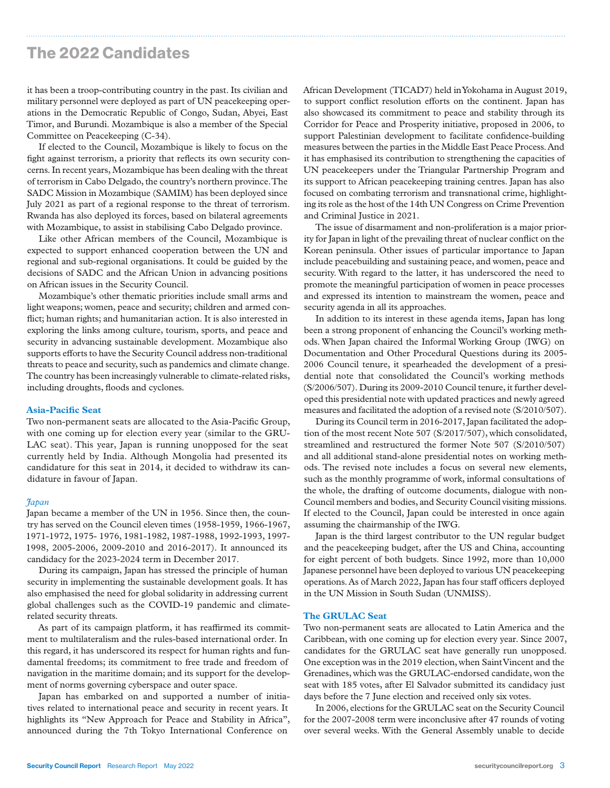it has been a troop-contributing country in the past. Its civilian and military personnel were deployed as part of UN peacekeeping operations in the Democratic Republic of Congo, Sudan, Abyei, East Timor, and Burundi. Mozambique is also a member of the Special Committee on Peacekeeping (C-34).

If elected to the Council, Mozambique is likely to focus on the fight against terrorism, a priority that reflects its own security concerns. In recent years, Mozambique has been dealing with the threat of terrorism in Cabo Delgado, the country's northern province. The SADC Mission in Mozambique (SAMIM) has been deployed since July 2021 as part of a regional response to the threat of terrorism. Rwanda has also deployed its forces, based on bilateral agreements with Mozambique, to assist in stabilising Cabo Delgado province.

Like other African members of the Council, Mozambique is expected to support enhanced cooperation between the UN and regional and sub-regional organisations. It could be guided by the decisions of SADC and the African Union in advancing positions on African issues in the Security Council.

Mozambique's other thematic priorities include small arms and light weapons; women, peace and security; children and armed conflict; human rights; and humanitarian action. It is also interested in exploring the links among culture, tourism, sports, and peace and security in advancing sustainable development. Mozambique also supports efforts to have the Security Council address non-traditional threats to peace and security, such as pandemics and climate change. The country has been increasingly vulnerable to climate-related risks, including droughts, floods and cyclones.

#### **Asia-Pacific Seat**

Two non-permanent seats are allocated to the Asia-Pacific Group, with one coming up for election every year (similar to the GRU-LAC seat). This year, Japan is running unopposed for the seat currently held by India. Although Mongolia had presented its candidature for this seat in 2014, it decided to withdraw its candidature in favour of Japan.

#### *Japan*

Japan became a member of the UN in 1956. Since then, the country has served on the Council eleven times (1958-1959, 1966-1967, 1971-1972, 1975- 1976, 1981-1982, 1987-1988, 1992-1993, 1997- 1998, 2005-2006, 2009-2010 and 2016-2017). It announced its candidacy for the 2023-2024 term in December 2017.

During its campaign, Japan has stressed the principle of human security in implementing the sustainable development goals. It has also emphasised the need for global solidarity in addressing current global challenges such as the COVID-19 pandemic and climaterelated security threats.

As part of its campaign platform, it has reaffirmed its commitment to multilateralism and the rules-based international order. In this regard, it has underscored its respect for human rights and fundamental freedoms; its commitment to free trade and freedom of navigation in the maritime domain; and its support for the development of norms governing cyberspace and outer space.

Japan has embarked on and supported a number of initiatives related to international peace and security in recent years. It highlights its "New Approach for Peace and Stability in Africa", announced during the 7th Tokyo International Conference on

African Development (TICAD7) held in Yokohama in August 2019, to support conflict resolution efforts on the continent. Japan has also showcased its commitment to peace and stability through its Corridor for Peace and Prosperity initiative, proposed in 2006, to support Palestinian development to facilitate confidence-building measures between the parties in the Middle East Peace Process. And it has emphasised its contribution to strengthening the capacities of UN peacekeepers under the Triangular Partnership Program and its support to African peacekeeping training centres. Japan has also focused on combating terrorism and transnational crime, highlighting its role as the host of the 14th UN Congress on Crime Prevention and Criminal Justice in 2021.

The issue of disarmament and non-proliferation is a major priority for Japan in light of the prevailing threat of nuclear conflict on the Korean peninsula. Other issues of particular importance to Japan include peacebuilding and sustaining peace, and women, peace and security. With regard to the latter, it has underscored the need to promote the meaningful participation of women in peace processes and expressed its intention to mainstream the women, peace and security agenda in all its approaches.

In addition to its interest in these agenda items, Japan has long been a strong proponent of enhancing the Council's working methods. When Japan chaired the Informal Working Group (IWG) on Documentation and Other Procedural Questions during its 2005- 2006 Council tenure, it spearheaded the development of a presidential note that consolidated the Council's working methods (S/2006/507). During its 2009-2010 Council tenure, it further developed this presidential note with updated practices and newly agreed measures and facilitated the adoption of a revised note (S/2010/507).

During its Council term in 2016-2017, Japan facilitated the adoption of the most recent Note 507 (S/2017/507), which consolidated, streamlined and restructured the former Note 507 (S/2010/507) and all additional stand-alone presidential notes on working methods. The revised note includes a focus on several new elements, such as the monthly programme of work, informal consultations of the whole, the drafting of outcome documents, dialogue with non-Council members and bodies, and Security Council visiting missions. If elected to the Council, Japan could be interested in once again assuming the chairmanship of the IWG.

Japan is the third largest contributor to the UN regular budget and the peacekeeping budget, after the US and China, accounting for eight percent of both budgets. Since 1992, more than 10,000 Japanese personnel have been deployed to various UN peacekeeping operations. As of March 2022, Japan has four staff officers deployed in the UN Mission in South Sudan (UNMISS).

#### **The GRULAC Seat**

Two non-permanent seats are allocated to Latin America and the Caribbean, with one coming up for election every year. Since 2007, candidates for the GRULAC seat have generally run unopposed. One exception was in the 2019 election, when Saint Vincent and the Grenadines, which was the GRULAC-endorsed candidate, won the seat with 185 votes, after El Salvador submitted its candidacy just days before the 7 June election and received only six votes.

In 2006, elections for the GRULAC seat on the Security Council for the 2007-2008 term were inconclusive after 47 rounds of voting over several weeks. With the General Assembly unable to decide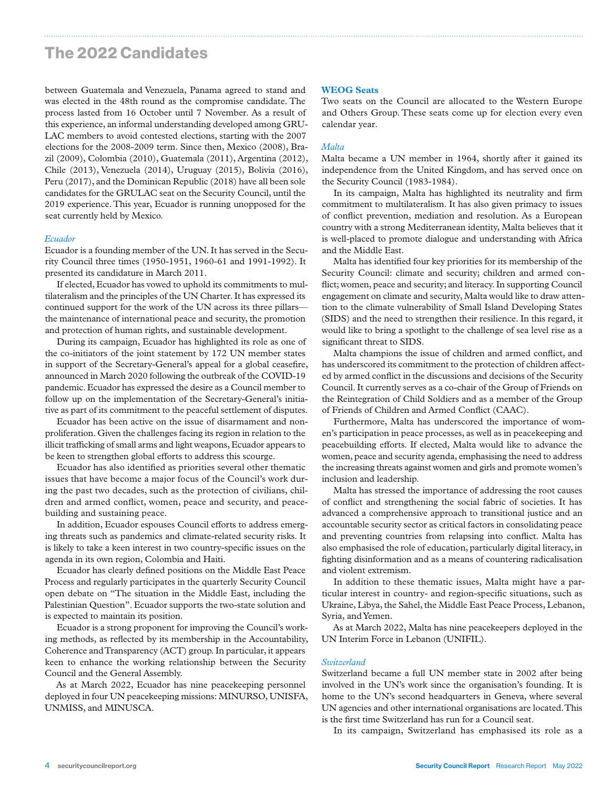between Guatemala and Venezuela, Panama agreed to stand and was elected in the 48th round as the compromise candidate. The process lasted from 16 October until 7 November. As a result of this experience, an informal understanding developed among GRU-LAC members to avoid contested elections, starting with the 2007 elections for the 2008-2009 term. Since then, Mexico (2008), Brazil (2009), Colombia (2010), Guatemala (2011), Argentina (2012), Chile (2013), Venezuela (2014), Uruguay (2015), Bolivia (2016), Peru (2017), and the Dominican Republic (2018) have all been sole candidates for the GRULAC seat on the Security Council, until the 2019 experience. This year, Ecuador is running unopposed for the seat currently held by Mexico.

#### *Ecuador*

Ecuador is a founding member of the UN. It has served in the Security Council three times (1950-1951, 1960-61 and 1991-1992). It presented its candidature in March 2011.

If elected, Ecuador has vowed to uphold its commitments to multilateralism and the principles of the UN Charter. It has expressed its continued support for the work of the UN across its three pillars the maintenance of international peace and security, the promotion and protection of human rights, and sustainable development.

During its campaign, Ecuador has highlighted its role as one of the co-initiators of the joint statement by 172 UN member states in support of the Secretary-General's appeal for a global ceasefire, announced in March 2020 following the outbreak of the COVID-19 pandemic. Ecuador has expressed the desire as a Council member to follow up on the implementation of the Secretary-General's initiative as part of its commitment to the peaceful settlement of disputes.

Ecuador has been active on the issue of disarmament and nonproliferation. Given the challenges facing its region in relation to the illicit trafficking of small arms and light weapons, Ecuador appears to be keen to strengthen global efforts to address this scourge.

Ecuador has also identified as priorities several other thematic issues that have become a major focus of the Council's work during the past two decades, such as the protection of civilians, children and armed conflict, women, peace and security, and peacebuilding and sustaining peace.

In addition, Ecuador espouses Council efforts to address emerging threats such as pandemics and climate-related security risks. It is likely to take a keen interest in two country-specific issues on the agenda in its own region, Colombia and Haiti.

Ecuador has clearly defined positions on the Middle East Peace Process and regularly participates in the quarterly Security Council open debate on "The situation in the Middle East, including the Palestinian Question". Ecuador supports the two-state solution and is expected to maintain its position.

Ecuador is a strong proponent for improving the Council's working methods, as reflected by its membership in the Accountability, Coherence and Transparency (ACT) group. In particular, it appears keen to enhance the working relationship between the Security Council and the General Assembly.

As at March 2022, Ecuador has nine peacekeeping personnel deployed in four UN peacekeeping missions: MINURSO, UNISFA, UNMISS, and MINUSCA.

#### **WEOG Seats**

Two seats on the Council are allocated to the Western Europe and Others Group. These seats come up for election every even calendar year.

#### *Malta*

Malta became a UN member in 1964, shortly after it gained its independence from the United Kingdom, and has served once on the Security Council (1983-1984).

In its campaign, Malta has highlighted its neutrality and firm commitment to multilateralism. It has also given primacy to issues of conflict prevention, mediation and resolution. As a European country with a strong Mediterranean identity, Malta believes that it is well-placed to promote dialogue and understanding with Africa and the Middle East.

Malta has identified four key priorities for its membership of the Security Council: climate and security; children and armed conflict; women, peace and security; and literacy. In supporting Council engagement on climate and security, Malta would like to draw attention to the climate vulnerability of Small Island Developing States (SIDS) and the need to strengthen their resilience. In this regard, it would like to bring a spotlight to the challenge of sea level rise as a significant threat to SIDS.

Malta champions the issue of children and armed conflict, and has underscored its commitment to the protection of children affected by armed conflict in the discussions and decisions of the Security Council. It currently serves as a co-chair of the Group of Friends on the Reintegration of Child Soldiers and as a member of the Group of Friends of Children and Armed Conflict (CAAC).

Furthermore, Malta has underscored the importance of women's participation in peace processes, as well as in peacekeeping and peacebuilding efforts. If elected, Malta would like to advance the women, peace and security agenda, emphasising the need to address the increasing threats against women and girls and promote women's inclusion and leadership.

Malta has stressed the importance of addressing the root causes of conflict and strengthening the social fabric of societies. It has advanced a comprehensive approach to transitional justice and an accountable security sector as critical factors in consolidating peace and preventing countries from relapsing into conflict. Malta has also emphasised the role of education, particularly digital literacy, in fighting disinformation and as a means of countering radicalisation and violent extremism.

In addition to these thematic issues, Malta might have a particular interest in country- and region-specific situations, such as Ukraine, Libya, the Sahel, the Middle East Peace Process, Lebanon, Syria, and Yemen.

As at March 2022, Malta has nine peacekeepers deployed in the UN Interim Force in Lebanon (UNIFIL).

#### *Switzerland*

Switzerland became a full UN member state in 2002 after being involved in the UN's work since the organisation's founding. It is home to the UN's second headquarters in Geneva, where several UN agencies and other international organisations are located. This is the first time Switzerland has run for a Council seat.

In its campaign, Switzerland has emphasised its role as a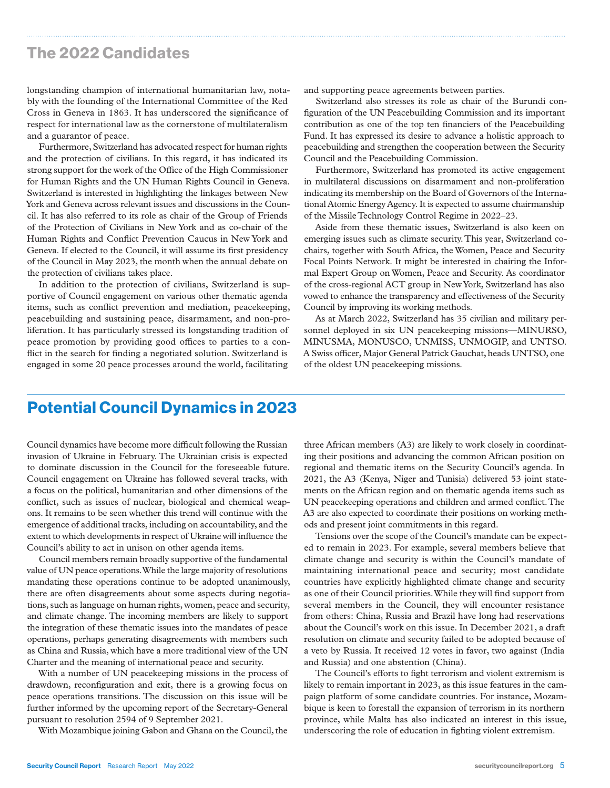longstanding champion of international humanitarian law, notably with the founding of the International Committee of the Red Cross in Geneva in 1863. It has underscored the significance of respect for international law as the cornerstone of multilateralism and a guarantor of peace.

Furthermore, Switzerland has advocated respect for human rights and the protection of civilians. In this regard, it has indicated its strong support for the work of the Office of the High Commissioner for Human Rights and the UN Human Rights Council in Geneva. Switzerland is interested in highlighting the linkages between New York and Geneva across relevant issues and discussions in the Council. It has also referred to its role as chair of the Group of Friends of the Protection of Civilians in New York and as co-chair of the Human Rights and Conflict Prevention Caucus in New York and Geneva. If elected to the Council, it will assume its first presidency of the Council in May 2023, the month when the annual debate on the protection of civilians takes place.

In addition to the protection of civilians, Switzerland is supportive of Council engagement on various other thematic agenda items, such as conflict prevention and mediation, peacekeeping, peacebuilding and sustaining peace, disarmament, and non-proliferation. It has particularly stressed its longstanding tradition of peace promotion by providing good offices to parties to a conflict in the search for finding a negotiated solution. Switzerland is engaged in some 20 peace processes around the world, facilitating

and supporting peace agreements between parties.

Switzerland also stresses its role as chair of the Burundi configuration of the UN Peacebuilding Commission and its important contribution as one of the top ten financiers of the Peacebuilding Fund. It has expressed its desire to advance a holistic approach to peacebuilding and strengthen the cooperation between the Security Council and the Peacebuilding Commission.

Furthermore, Switzerland has promoted its active engagement in multilateral discussions on disarmament and non-proliferation indicating its membership on the Board of Governors of the International Atomic Energy Agency. It is expected to assume chairmanship of the Missile Technology Control Regime in 2022–23.

Aside from these thematic issues, Switzerland is also keen on emerging issues such as climate security. This year, Switzerland cochairs, together with South Africa, the Women, Peace and Security Focal Points Network. It might be interested in chairing the Informal Expert Group on Women, Peace and Security. As coordinator of the cross-regional ACT group in New York, Switzerland has also vowed to enhance the transparency and effectiveness of the Security Council by improving its working methods.

As at March 2022, Switzerland has 35 civilian and military personnel deployed in six UN peacekeeping missions—MINURSO, MINUSMA, MONUSCO, UNMISS, UNMOGIP, and UNTSO. A Swiss officer, Major General Patrick Gauchat, heads UNTSO, one of the oldest UN peacekeeping missions.

### Potential Council Dynamics in 2023

Council dynamics have become more difficult following the Russian invasion of Ukraine in February. The Ukrainian crisis is expected to dominate discussion in the Council for the foreseeable future. Council engagement on Ukraine has followed several tracks, with a focus on the political, humanitarian and other dimensions of the conflict, such as issues of nuclear, biological and chemical weapons. It remains to be seen whether this trend will continue with the emergence of additional tracks, including on accountability, and the extent to which developments in respect of Ukraine will influence the Council's ability to act in unison on other agenda items.

Council members remain broadly supportive of the fundamental value of UN peace operations. While the large majority of resolutions mandating these operations continue to be adopted unanimously, there are often disagreements about some aspects during negotiations, such as language on human rights, women, peace and security, and climate change. The incoming members are likely to support the integration of these thematic issues into the mandates of peace operations, perhaps generating disagreements with members such as China and Russia, which have a more traditional view of the UN Charter and the meaning of international peace and security.

With a number of UN peacekeeping missions in the process of drawdown, reconfiguration and exit, there is a growing focus on peace operations transitions. The discussion on this issue will be further informed by the upcoming report of the Secretary-General pursuant to resolution 2594 of 9 September 2021.

With Mozambique joining Gabon and Ghana on the Council, the

three African members (A3) are likely to work closely in coordinating their positions and advancing the common African position on regional and thematic items on the Security Council's agenda. In 2021, the A3 (Kenya, Niger and Tunisia) delivered 53 joint statements on the African region and on thematic agenda items such as UN peacekeeping operations and children and armed conflict. The A3 are also expected to coordinate their positions on working methods and present joint commitments in this regard.

Tensions over the scope of the Council's mandate can be expected to remain in 2023. For example, several members believe that climate change and security is within the Council's mandate of maintaining international peace and security; most candidate countries have explicitly highlighted climate change and security as one of their Council priorities. While they will find support from several members in the Council, they will encounter resistance from others: China, Russia and Brazil have long had reservations about the Council's work on this issue. In December 2021, a draft resolution on climate and security failed to be adopted because of a veto by Russia. It received 12 votes in favor, two against (India and Russia) and one abstention (China).

The Council's efforts to fight terrorism and violent extremism is likely to remain important in 2023, as this issue features in the campaign platform of some candidate countries. For instance, Mozambique is keen to forestall the expansion of terrorism in its northern province, while Malta has also indicated an interest in this issue, underscoring the role of education in fighting violent extremism.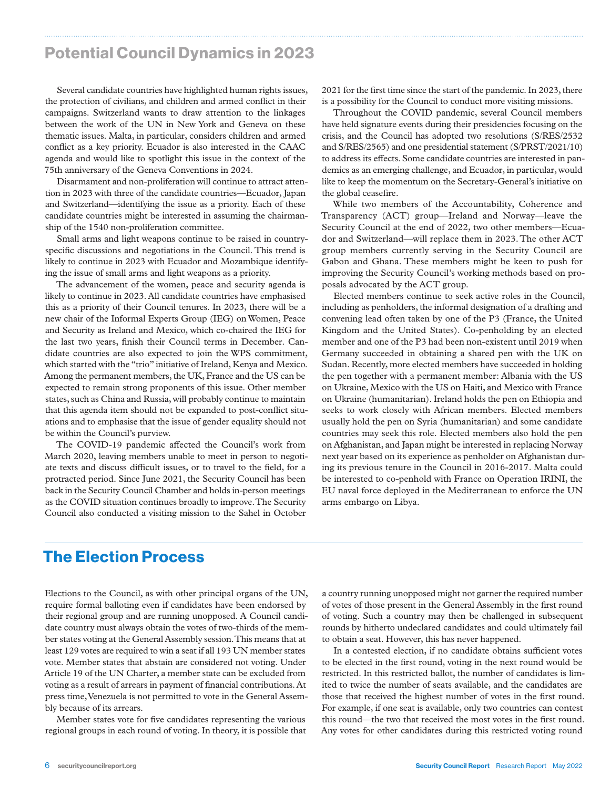### Potential Council Dynamics in 2023

Several candidate countries have highlighted human rights issues, the protection of civilians, and children and armed conflict in their campaigns. Switzerland wants to draw attention to the linkages between the work of the UN in New York and Geneva on these thematic issues. Malta, in particular, considers children and armed conflict as a key priority. Ecuador is also interested in the CAAC agenda and would like to spotlight this issue in the context of the 75th anniversary of the Geneva Conventions in 2024.

Disarmament and non-proliferation will continue to attract attention in 2023 with three of the candidate countries—Ecuador, Japan and Switzerland—identifying the issue as a priority. Each of these candidate countries might be interested in assuming the chairmanship of the 1540 non-proliferation committee.

Small arms and light weapons continue to be raised in countryspecific discussions and negotiations in the Council. This trend is likely to continue in 2023 with Ecuador and Mozambique identifying the issue of small arms and light weapons as a priority.

The advancement of the women, peace and security agenda is likely to continue in 2023. All candidate countries have emphasised this as a priority of their Council tenures. In 2023, there will be a new chair of the Informal Experts Group (IEG) on Women, Peace and Security as Ireland and Mexico, which co-chaired the IEG for the last two years, finish their Council terms in December. Candidate countries are also expected to join the WPS commitment, which started with the "trio" initiative of Ireland, Kenya and Mexico. Among the permanent members, the UK, France and the US can be expected to remain strong proponents of this issue. Other member states, such as China and Russia, will probably continue to maintain that this agenda item should not be expanded to post-conflict situations and to emphasise that the issue of gender equality should not be within the Council's purview.

The COVID-19 pandemic affected the Council's work from March 2020, leaving members unable to meet in person to negotiate texts and discuss difficult issues, or to travel to the field, for a protracted period. Since June 2021, the Security Council has been back in the Security Council Chamber and holds in-person meetings as the COVID situation continues broadly to improve. The Security Council also conducted a visiting mission to the Sahel in October

2021 for the first time since the start of the pandemic. In 2023, there is a possibility for the Council to conduct more visiting missions.

Throughout the COVID pandemic, several Council members have held signature events during their presidencies focusing on the crisis, and the Council has adopted two resolutions (S/RES/2532 and S/RES/2565) and one presidential statement (S/PRST/2021/10) to address its effects. Some candidate countries are interested in pandemics as an emerging challenge, and Ecuador, in particular, would like to keep the momentum on the Secretary-General's initiative on the global ceasefire.

While two members of the Accountability, Coherence and Transparency (ACT) group—Ireland and Norway—leave the Security Council at the end of 2022, two other members—Ecuador and Switzerland—will replace them in 2023. The other ACT group members currently serving in the Security Council are Gabon and Ghana. These members might be keen to push for improving the Security Council's working methods based on proposals advocated by the ACT group.

Elected members continue to seek active roles in the Council, including as penholders, the informal designation of a drafting and convening lead often taken by one of the P3 (France, the United Kingdom and the United States). Co-penholding by an elected member and one of the P3 had been non-existent until 2019 when Germany succeeded in obtaining a shared pen with the UK on Sudan. Recently, more elected members have succeeded in holding the pen together with a permanent member: Albania with the US on Ukraine, Mexico with the US on Haiti, and Mexico with France on Ukraine (humanitarian). Ireland holds the pen on Ethiopia and seeks to work closely with African members. Elected members usually hold the pen on Syria (humanitarian) and some candidate countries may seek this role. Elected members also hold the pen on Afghanistan, and Japan might be interested in replacing Norway next year based on its experience as penholder on Afghanistan during its previous tenure in the Council in 2016-2017. Malta could be interested to co-penhold with France on Operation IRINI, the EU naval force deployed in the Mediterranean to enforce the UN arms embargo on Libya.

### The Election Process

Elections to the Council, as with other principal organs of the UN, require formal balloting even if candidates have been endorsed by their regional group and are running unopposed. A Council candidate country must always obtain the votes of two-thirds of the member states voting at the General Assembly session. This means that at least 129 votes are required to win a seat if all 193 UN member states vote. Member states that abstain are considered not voting. Under Article 19 of the UN Charter, a member state can be excluded from voting as a result of arrears in payment of financial contributions. At press time, Venezuela is not permitted to vote in the General Assembly because of its arrears.

Member states vote for five candidates representing the various regional groups in each round of voting. In theory, it is possible that a country running unopposed might not garner the required number of votes of those present in the General Assembly in the first round of voting. Such a country may then be challenged in subsequent rounds by hitherto undeclared candidates and could ultimately fail to obtain a seat. However, this has never happened.

In a contested election, if no candidate obtains sufficient votes to be elected in the first round, voting in the next round would be restricted. In this restricted ballot, the number of candidates is limited to twice the number of seats available, and the candidates are those that received the highest number of votes in the first round. For example, if one seat is available, only two countries can contest this round—the two that received the most votes in the first round. Any votes for other candidates during this restricted voting round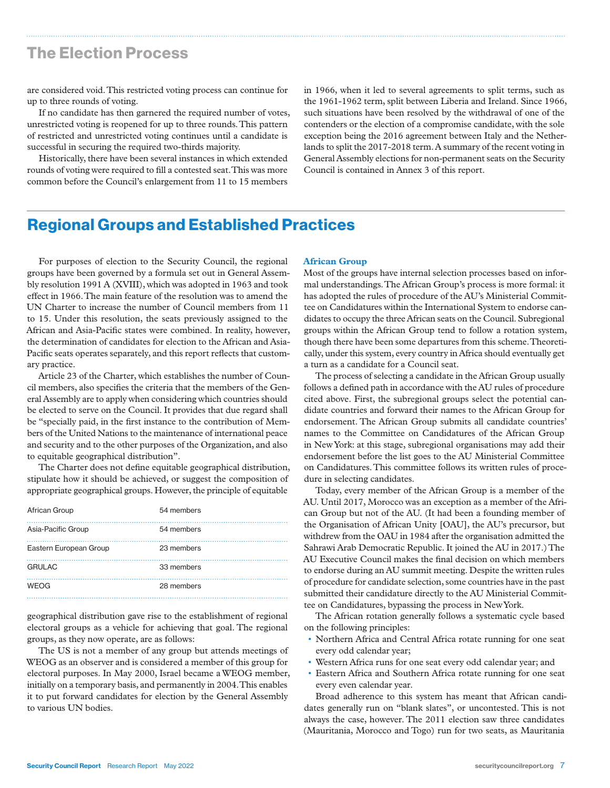### The Election Process

are considered void. This restricted voting process can continue for up to three rounds of voting.

If no candidate has then garnered the required number of votes, unrestricted voting is reopened for up to three rounds. This pattern of restricted and unrestricted voting continues until a candidate is successful in securing the required two-thirds majority.

Historically, there have been several instances in which extended rounds of voting were required to fill a contested seat. This was more common before the Council's enlargement from 11 to 15 members in 1966, when it led to several agreements to split terms, such as the 1961-1962 term, split between Liberia and Ireland. Since 1966, such situations have been resolved by the withdrawal of one of the contenders or the election of a compromise candidate, with the sole exception being the 2016 agreement between Italy and the Netherlands to split the 2017-2018 term. A summary of the recent voting in General Assembly elections for non-permanent seats on the Security Council is contained in Annex 3 of this report.

### Regional Groups and Established Practices

For purposes of election to the Security Council, the regional groups have been governed by a formula set out in General Assembly resolution 1991 A (XVIII), which was adopted in 1963 and took effect in 1966. The main feature of the resolution was to amend the UN Charter to increase the number of Council members from 11 to 15. Under this resolution, the seats previously assigned to the African and Asia-Pacific states were combined. In reality, however, the determination of candidates for election to the African and Asia-Pacific seats operates separately, and this report reflects that customary practice.

Article 23 of the Charter, which establishes the number of Council members, also specifies the criteria that the members of the General Assembly are to apply when considering which countries should be elected to serve on the Council. It provides that due regard shall be "specially paid, in the first instance to the contribution of Members of the United Nations to the maintenance of international peace and security and to the other purposes of the Organization, and also to equitable geographical distribution".

The Charter does not define equitable geographical distribution, stipulate how it should be achieved, or suggest the composition of appropriate geographical groups. However, the principle of equitable

| African Group          | 54 members |
|------------------------|------------|
| Asia-Pacific Group     | 54 members |
| Eastern European Group | 23 members |
| <b>GRULAC</b>          | 33 members |
| <b>WEOG</b>            | 28 members |

geographical distribution gave rise to the establishment of regional electoral groups as a vehicle for achieving that goal. The regional groups, as they now operate, are as follows:

The US is not a member of any group but attends meetings of WEOG as an observer and is considered a member of this group for electoral purposes. In May 2000, Israel became a WEOG member, initially on a temporary basis, and permanently in 2004. This enables it to put forward candidates for election by the General Assembly to various UN bodies.

#### **African Group**

Most of the groups have internal selection processes based on informal understandings. The African Group's process is more formal: it has adopted the rules of procedure of the AU's Ministerial Committee on Candidatures within the International System to endorse candidates to occupy the three African seats on the Council. Subregional groups within the African Group tend to follow a rotation system, though there have been some departures from this scheme. Theoretically, under this system, every country in Africa should eventually get a turn as a candidate for a Council seat.

The process of selecting a candidate in the African Group usually follows a defined path in accordance with the AU rules of procedure cited above. First, the subregional groups select the potential candidate countries and forward their names to the African Group for endorsement. The African Group submits all candidate countries' names to the Committee on Candidatures of the African Group in New York: at this stage, subregional organisations may add their endorsement before the list goes to the AU Ministerial Committee on Candidatures. This committee follows its written rules of procedure in selecting candidates.

Today, every member of the African Group is a member of the AU. Until 2017, Morocco was an exception as a member of the African Group but not of the AU. (It had been a founding member of the Organisation of African Unity [OAU], the AU's precursor, but withdrew from the OAU in 1984 after the organisation admitted the Sahrawi Arab Democratic Republic. It joined the AU in 2017.) The AU Executive Council makes the final decision on which members to endorse during an AU summit meeting. Despite the written rules of procedure for candidate selection, some countries have in the past submitted their candidature directly to the AU Ministerial Committee on Candidatures, bypassing the process in New York.

The African rotation generally follows a systematic cycle based on the following principles:

- Northern Africa and Central Africa rotate running for one seat every odd calendar year;
- Western Africa runs for one seat every odd calendar year; and
- Eastern Africa and Southern Africa rotate running for one seat every even calendar year.

Broad adherence to this system has meant that African candidates generally run on "blank slates", or uncontested. This is not always the case, however. The 2011 election saw three candidates (Mauritania, Morocco and Togo) run for two seats, as Mauritania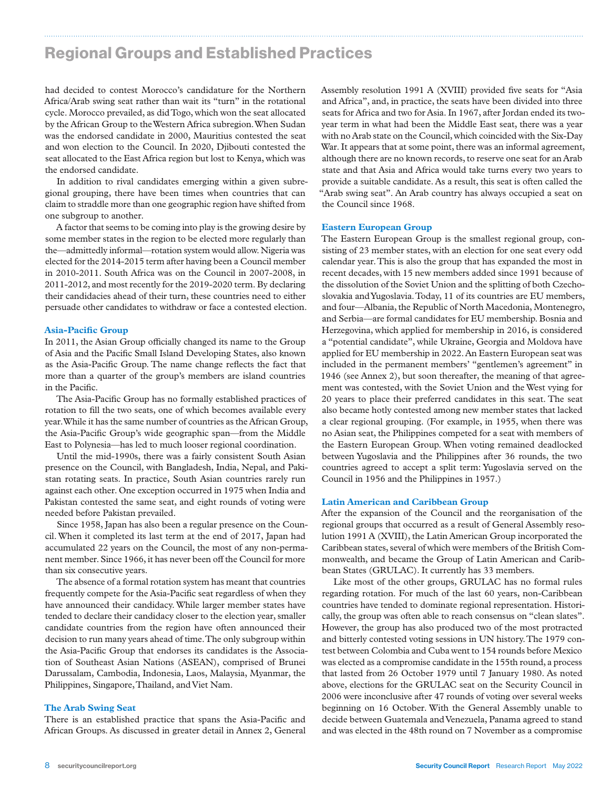### Regional Groups and Established Practices

had decided to contest Morocco's candidature for the Northern Africa/Arab swing seat rather than wait its "turn" in the rotational cycle. Morocco prevailed, as did Togo, which won the seat allocated by the African Group to the Western Africa subregion. When Sudan was the endorsed candidate in 2000, Mauritius contested the seat and won election to the Council. In 2020, Djibouti contested the seat allocated to the East Africa region but lost to Kenya, which was the endorsed candidate.

In addition to rival candidates emerging within a given subregional grouping, there have been times when countries that can claim to straddle more than one geographic region have shifted from one subgroup to another.

A factor that seems to be coming into play is the growing desire by some member states in the region to be elected more regularly than the—admittedly informal—rotation system would allow. Nigeria was elected for the 2014-2015 term after having been a Council member in 2010-2011. South Africa was on the Council in 2007-2008, in 2011-2012, and most recently for the 2019-2020 term. By declaring their candidacies ahead of their turn, these countries need to either persuade other candidates to withdraw or face a contested election.

#### **Asia-Pacific Group**

In 2011, the Asian Group officially changed its name to the Group of Asia and the Pacific Small Island Developing States, also known as the Asia-Pacific Group. The name change reflects the fact that more than a quarter of the group's members are island countries in the Pacific.

The Asia-Pacific Group has no formally established practices of rotation to fill the two seats, one of which becomes available every year. While it has the same number of countries as the African Group, the Asia-Pacific Group's wide geographic span—from the Middle East to Polynesia—has led to much looser regional coordination.

Until the mid-1990s, there was a fairly consistent South Asian presence on the Council, with Bangladesh, India, Nepal, and Pakistan rotating seats. In practice, South Asian countries rarely run against each other. One exception occurred in 1975 when India and Pakistan contested the same seat, and eight rounds of voting were needed before Pakistan prevailed.

Since 1958, Japan has also been a regular presence on the Council. When it completed its last term at the end of 2017, Japan had accumulated 22 years on the Council, the most of any non-permanent member. Since 1966, it has never been off the Council for more than six consecutive years.

The absence of a formal rotation system has meant that countries frequently compete for the Asia-Pacific seat regardless of when they have announced their candidacy. While larger member states have tended to declare their candidacy closer to the election year, smaller candidate countries from the region have often announced their decision to run many years ahead of time. The only subgroup within the Asia-Pacific Group that endorses its candidates is the Association of Southeast Asian Nations (ASEAN), comprised of Brunei Darussalam, Cambodia, Indonesia, Laos, Malaysia, Myanmar, the Philippines, Singapore, Thailand, and Viet Nam.

#### **The Arab Swing Seat**

There is an established practice that spans the Asia-Pacific and African Groups. As discussed in greater detail in Annex 2, General

Assembly resolution 1991 A (XVIII) provided five seats for "Asia and Africa", and, in practice, the seats have been divided into three seats for Africa and two for Asia. In 1967, after Jordan ended its twoyear term in what had been the Middle East seat, there was a year with no Arab state on the Council, which coincided with the Six-Day War. It appears that at some point, there was an informal agreement, although there are no known records, to reserve one seat for an Arab state and that Asia and Africa would take turns every two years to provide a suitable candidate. As a result, this seat is often called the "Arab swing seat". An Arab country has always occupied a seat on the Council since 1968.

#### **Eastern European Group**

The Eastern European Group is the smallest regional group, consisting of 23 member states, with an election for one seat every odd calendar year. This is also the group that has expanded the most in recent decades, with 15 new members added since 1991 because of the dissolution of the Soviet Union and the splitting of both Czechoslovakia and Yugoslavia. Today, 11 of its countries are EU members, and four—Albania, the Republic of North Macedonia, Montenegro, and Serbia—are formal candidates for EU membership. Bosnia and Herzegovina, which applied for membership in 2016, is considered a "potential candidate", while Ukraine, Georgia and Moldova have applied for EU membership in 2022. An Eastern European seat was included in the permanent members' "gentlemen's agreement" in 1946 (see Annex 2), but soon thereafter, the meaning of that agreement was contested, with the Soviet Union and the West vying for 20 years to place their preferred candidates in this seat. The seat also became hotly contested among new member states that lacked a clear regional grouping. (For example, in 1955, when there was no Asian seat, the Philippines competed for a seat with members of the Eastern European Group. When voting remained deadlocked between Yugoslavia and the Philippines after 36 rounds, the two countries agreed to accept a split term: Yugoslavia served on the Council in 1956 and the Philippines in 1957.)

#### **Latin American and Caribbean Group**

After the expansion of the Council and the reorganisation of the regional groups that occurred as a result of General Assembly resolution 1991 A (XVIII), the Latin American Group incorporated the Caribbean states, several of which were members of the British Commonwealth, and became the Group of Latin American and Caribbean States (GRULAC). It currently has 33 members.

Like most of the other groups, GRULAC has no formal rules regarding rotation. For much of the last 60 years, non-Caribbean countries have tended to dominate regional representation. Historically, the group was often able to reach consensus on "clean slates". However, the group has also produced two of the most protracted and bitterly contested voting sessions in UN history. The 1979 contest between Colombia and Cuba went to 154 rounds before Mexico was elected as a compromise candidate in the 155th round, a process that lasted from 26 October 1979 until 7 January 1980. As noted above, elections for the GRULAC seat on the Security Council in 2006 were inconclusive after 47 rounds of voting over several weeks beginning on 16 October. With the General Assembly unable to decide between Guatemala and Venezuela, Panama agreed to stand and was elected in the 48th round on 7 November as a compromise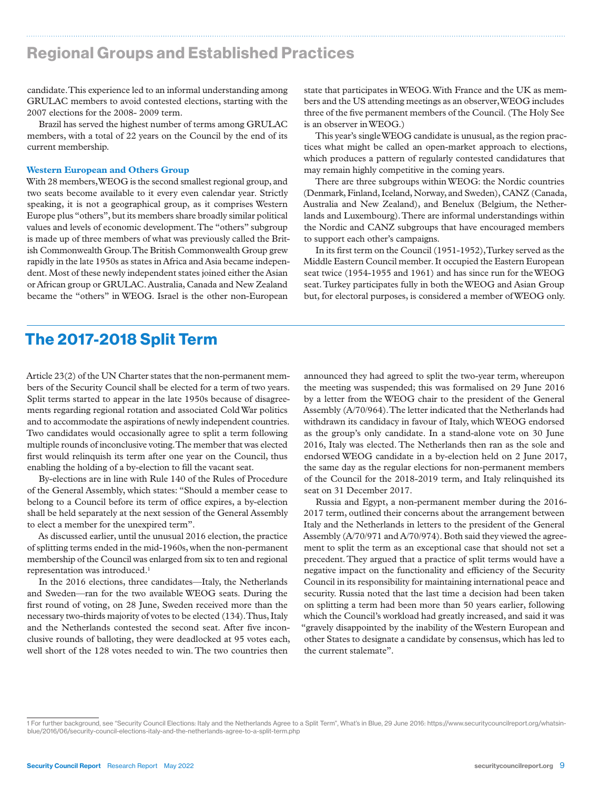### Regional Groups and Established Practices

candidate. This experience led to an informal understanding among GRULAC members to avoid contested elections, starting with the 2007 elections for the 2008- 2009 term.

Brazil has served the highest number of terms among GRULAC members, with a total of 22 years on the Council by the end of its current membership.

#### **Western European and Others Group**

With 28 members, WEOG is the second smallest regional group, and two seats become available to it every even calendar year. Strictly speaking, it is not a geographical group, as it comprises Western Europe plus "others", but its members share broadly similar political values and levels of economic development. The "others" subgroup is made up of three members of what was previously called the British Commonwealth Group. The British Commonwealth Group grew rapidly in the late 1950s as states in Africa and Asia became independent. Most of these newly independent states joined either the Asian or African group or GRULAC. Australia, Canada and New Zealand became the "others" in WEOG. Israel is the other non-European

state that participates in WEOG. With France and the UK as members and the US attending meetings as an observer, WEOG includes three of the five permanent members of the Council. (The Holy See is an observer in WEOG.)

This year's single WEOG candidate is unusual, as the region practices what might be called an open-market approach to elections, which produces a pattern of regularly contested candidatures that may remain highly competitive in the coming years.

There are three subgroups within WEOG: the Nordic countries (Denmark, Finland, Iceland, Norway, and Sweden), CANZ (Canada, Australia and New Zealand), and Benelux (Belgium, the Netherlands and Luxembourg). There are informal understandings within the Nordic and CANZ subgroups that have encouraged members to support each other's campaigns.

In its first term on the Council (1951-1952), Turkey served as the Middle Eastern Council member. It occupied the Eastern European seat twice (1954-1955 and 1961) and has since run for the WEOG seat. Turkey participates fully in both the WEOG and Asian Group but, for electoral purposes, is considered a member of WEOG only.

### The 2017-2018 Split Term

Article 23(2) of the UN Charter states that the non-permanent members of the Security Council shall be elected for a term of two years. Split terms started to appear in the late 1950s because of disagreements regarding regional rotation and associated Cold War politics and to accommodate the aspirations of newly independent countries. Two candidates would occasionally agree to split a term following multiple rounds of inconclusive voting. The member that was elected first would relinquish its term after one year on the Council, thus enabling the holding of a by-election to fill the vacant seat.

By-elections are in line with Rule 140 of the Rules of Procedure of the General Assembly, which states: "Should a member cease to belong to a Council before its term of office expires, a by-election shall be held separately at the next session of the General Assembly to elect a member for the unexpired term".

As discussed earlier, until the unusual 2016 election, the practice of splitting terms ended in the mid-1960s, when the non-permanent membership of the Council was enlarged from six to ten and regional representation was introduced.<sup>1</sup>

In the 2016 elections, three candidates—Italy, the Netherlands and Sweden—ran for the two available WEOG seats. During the first round of voting, on 28 June, Sweden received more than the necessary two-thirds majority of votes to be elected (134). Thus, Italy and the Netherlands contested the second seat. After five inconclusive rounds of balloting, they were deadlocked at 95 votes each, well short of the 128 votes needed to win. The two countries then

announced they had agreed to split the two-year term, whereupon the meeting was suspended; this was formalised on 29 June 2016 by a letter from the WEOG chair to the president of the General Assembly (A/70/964). The letter indicated that the Netherlands had withdrawn its candidacy in favour of Italy, which WEOG endorsed as the group's only candidate. In a stand-alone vote on 30 June 2016, Italy was elected. The Netherlands then ran as the sole and endorsed WEOG candidate in a by-election held on 2 June 2017, the same day as the regular elections for non-permanent members of the Council for the 2018-2019 term, and Italy relinquished its seat on 31 December 2017.

Russia and Egypt, a non-permanent member during the 2016- 2017 term, outlined their concerns about the arrangement between Italy and the Netherlands in letters to the president of the General Assembly (A/70/971 and A/70/974). Both said they viewed the agreement to split the term as an exceptional case that should not set a precedent. They argued that a practice of split terms would have a negative impact on the functionality and efficiency of the Security Council in its responsibility for maintaining international peace and security. Russia noted that the last time a decision had been taken on splitting a term had been more than 50 years earlier, following which the Council's workload had greatly increased, and said it was "gravely disappointed by the inability of the Western European and other States to designate a candidate by consensus, which has led to the current stalemate".

<sup>1</sup> For further background, see "Security Council Elections: Italy and the Netherlands Agree to a Split Term", What's in Blue, 29 June 2016: https://www.securitycouncilreport.org/whatsinblue/2016/06/security-council-elections-italy-and-the-netherlands-agree-to-a-split-term.php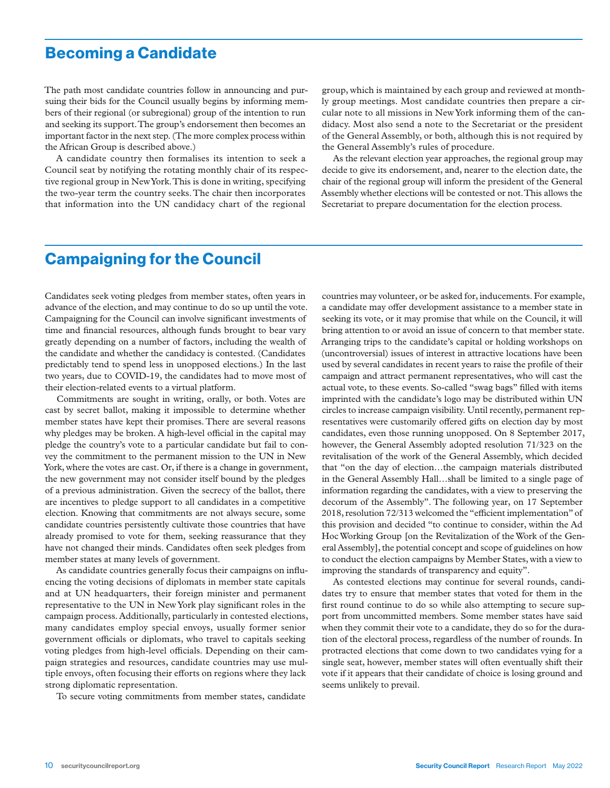### Becoming a Candidate

The path most candidate countries follow in announcing and pursuing their bids for the Council usually begins by informing members of their regional (or subregional) group of the intention to run and seeking its support. The group's endorsement then becomes an important factor in the next step. (The more complex process within the African Group is described above.)

A candidate country then formalises its intention to seek a Council seat by notifying the rotating monthly chair of its respective regional group in New York. This is done in writing, specifying the two-year term the country seeks. The chair then incorporates that information into the UN candidacy chart of the regional

group, which is maintained by each group and reviewed at monthly group meetings. Most candidate countries then prepare a circular note to all missions in New York informing them of the candidacy. Most also send a note to the Secretariat or the president of the General Assembly, or both, although this is not required by the General Assembly's rules of procedure.

As the relevant election year approaches, the regional group may decide to give its endorsement, and, nearer to the election date, the chair of the regional group will inform the president of the General Assembly whether elections will be contested or not. This allows the Secretariat to prepare documentation for the election process.

### Campaigning for the Council

Candidates seek voting pledges from member states, often years in advance of the election, and may continue to do so up until the vote. Campaigning for the Council can involve significant investments of time and financial resources, although funds brought to bear vary greatly depending on a number of factors, including the wealth of the candidate and whether the candidacy is contested. (Candidates predictably tend to spend less in unopposed elections.) In the last two years, due to COVID-19, the candidates had to move most of their election-related events to a virtual platform.

Commitments are sought in writing, orally, or both. Votes are cast by secret ballot, making it impossible to determine whether member states have kept their promises. There are several reasons why pledges may be broken. A high-level official in the capital may pledge the country's vote to a particular candidate but fail to convey the commitment to the permanent mission to the UN in New York, where the votes are cast. Or, if there is a change in government, the new government may not consider itself bound by the pledges of a previous administration. Given the secrecy of the ballot, there are incentives to pledge support to all candidates in a competitive election. Knowing that commitments are not always secure, some candidate countries persistently cultivate those countries that have already promised to vote for them, seeking reassurance that they have not changed their minds. Candidates often seek pledges from member states at many levels of government.

As candidate countries generally focus their campaigns on influencing the voting decisions of diplomats in member state capitals and at UN headquarters, their foreign minister and permanent representative to the UN in New York play significant roles in the campaign process. Additionally, particularly in contested elections, many candidates employ special envoys, usually former senior government officials or diplomats, who travel to capitals seeking voting pledges from high-level officials. Depending on their campaign strategies and resources, candidate countries may use multiple envoys, often focusing their efforts on regions where they lack strong diplomatic representation.

To secure voting commitments from member states, candidate

countries may volunteer, or be asked for, inducements. For example, a candidate may offer development assistance to a member state in seeking its vote, or it may promise that while on the Council, it will bring attention to or avoid an issue of concern to that member state. Arranging trips to the candidate's capital or holding workshops on (uncontroversial) issues of interest in attractive locations have been used by several candidates in recent years to raise the profile of their campaign and attract permanent representatives, who will cast the actual vote, to these events. So-called "swag bags" filled with items imprinted with the candidate's logo may be distributed within UN circles to increase campaign visibility. Until recently, permanent representatives were customarily offered gifts on election day by most candidates, even those running unopposed. On 8 September 2017, however, the General Assembly adopted resolution 71/323 on the revitalisation of the work of the General Assembly, which decided that "on the day of election…the campaign materials distributed in the General Assembly Hall…shall be limited to a single page of information regarding the candidates, with a view to preserving the decorum of the Assembly". The following year, on 17 September 2018, resolution 72/313 welcomed the "efficient implementation" of this provision and decided "to continue to consider, within the Ad Hoc Working Group [on the Revitalization of the Work of the General Assembly], the potential concept and scope of guidelines on how to conduct the election campaigns by Member States, with a view to improving the standards of transparency and equity".

As contested elections may continue for several rounds, candidates try to ensure that member states that voted for them in the first round continue to do so while also attempting to secure support from uncommitted members. Some member states have said when they commit their vote to a candidate, they do so for the duration of the electoral process, regardless of the number of rounds. In protracted elections that come down to two candidates vying for a single seat, however, member states will often eventually shift their vote if it appears that their candidate of choice is losing ground and seems unlikely to prevail.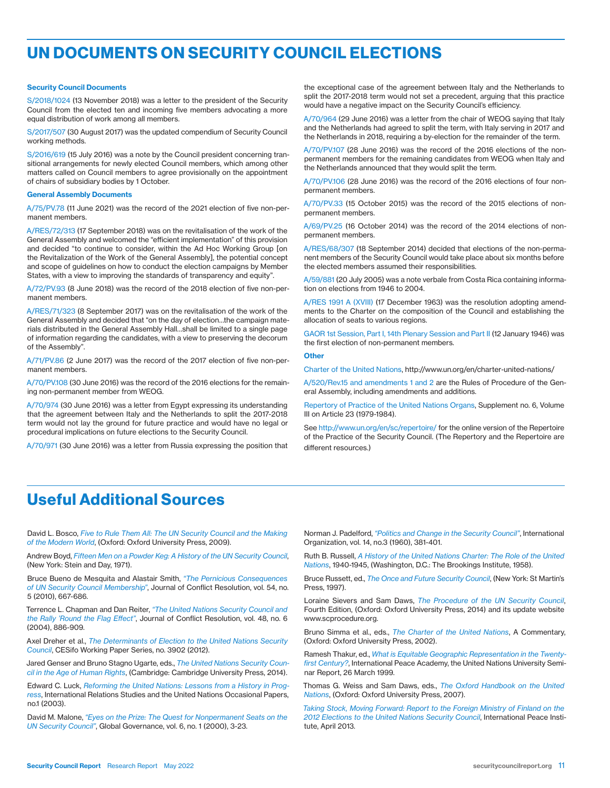# UN DOCUMENTS ON SECURITY COUNCIL ELECTIONS

#### Security Council Documents

S/2018/1024 (13 November 2018) was a letter to the president of the Security Council from the elected ten and incoming five members advocating a more equal distribution of work among all members.

S/2017/507 (30 August 2017) was the updated compendium of Security Council working methods.

S/2016/619 (15 July 2016) was a note by the Council president concerning transitional arrangements for newly elected Council members, which among other matters called on Council members to agree provisionally on the appointment of chairs of subsidiary bodies by 1 October.

#### General Assembly Documents

A/75/PV.78 (11 June 2021) was the record of the 2021 election of five non-permanent members.

A/RES/72/313 (17 September 2018) was on the revitalisation of the work of the General Assembly and welcomed the "efficient implementation" of this provision and decided "to continue to consider, within the Ad Hoc Working Group [on the Revitalization of the Work of the General Assembly], the potential concept and scope of guidelines on how to conduct the election campaigns by Member States, with a view to improving the standards of transparency and equity".

A/72/PV.93 (8 June 2018) was the record of the 2018 election of five non-permanent members.

A/RES/71/323 (8 September 2017) was on the revitalisation of the work of the General Assembly and decided that "on the day of election…the campaign materials distributed in the General Assembly Hall…shall be limited to a single page of information regarding the candidates, with a view to preserving the decorum of the Assembly".

A/71/PV.86 (2 June 2017) was the record of the 2017 election of five non-permanent members.

A/70/PV.108 (30 June 2016) was the record of the 2016 elections for the remaining non-permanent member from WEOG.

A/70/974 (30 June 2016) was a letter from Egypt expressing its understanding that the agreement between Italy and the Netherlands to split the 2017-2018 term would not lay the ground for future practice and would have no legal or procedural implications on future elections to the Security Council.

A/70/971 (30 June 2016) was a letter from Russia expressing the position that

the exceptional case of the agreement between Italy and the Netherlands to split the 2017-2018 term would not set a precedent, arguing that this practice would have a negative impact on the Security Council's efficiency.

A/70/964 (29 June 2016) was a letter from the chair of WEOG saying that Italy and the Netherlands had agreed to split the term, with Italy serving in 2017 and the Netherlands in 2018, requiring a by-election for the remainder of the term.

A/70/PV.107 (28 June 2016) was the record of the 2016 elections of the nonpermanent members for the remaining candidates from WEOG when Italy and the Netherlands announced that they would split the term.

A/70/PV.106 (28 June 2016) was the record of the 2016 elections of four nonpermanent members.

A/70/PV.33 (15 October 2015) was the record of the 2015 elections of nonpermanent members.

A/69/PV.25 (16 October 2014) was the record of the 2014 elections of nonpermanent members.

A/RES/68/307 (18 September 2014) decided that elections of the non-permanent members of the Security Council would take place about six months before the elected members assumed their responsibilities.

A/59/881 (20 July 2005) was a note verbale from Costa Rica containing information on elections from 1946 to 2004.

A/RES 1991 A (XVIII) (17 December 1963) was the resolution adopting amendments to the Charter on the composition of the Council and establishing the allocation of seats to various regions.

GAOR 1st Session, Part I, 14th Plenary Session and Part II (12 January 1946) was the first election of non-permanent members.

#### **Other**

Charter of the United Nations, http://www.un.org/en/charter-united-nations/

A/520/Rev.15 and amendments 1 and 2 are the Rules of Procedure of the General Assembly, including amendments and additions.

Repertory of Practice of the United Nations Organs, Supplement no. 6, Volume III on Article 23 (1979-1984).

See http://www.un.org/en/sc/repertoire/ for the online version of the Repertoire of the Practice of the Security Council. (The Repertory and the Repertoire are different resources.)

### Useful Additional Sources

David L. Bosco, *Five to Rule Them All: The UN Security Council and the Making of the Modern World*, (Oxford: Oxford University Press, 2009).

Andrew Boyd, *Fifteen Men on a Powder Keg: A History of the UN Security Council*, (New York: Stein and Day, 1971).

Bruce Bueno de Mesquita and Alastair Smith, *"The Pernicious Consequences of UN Security Council Membership"*, Journal of Conflict Resolution, vol. 54, no. 5 (2010), 667-686.

Terrence L. Chapman and Dan Reiter, *"The United Nations Security Council and*  the Rally 'Round the Flag Effect", Journal of Conflict Resolution, vol. 48, no. 6 (2004), 886-909.

Axel Dreher et al., *The Determinants of Election to the United Nations Security Council*, CESifo Working Paper Series, no. 3902 (2012).

Jared Genser and Bruno Stagno Ugarte, eds., *The United Nations Security Council in the Age of Human Rights*, (Cambridge: Cambridge University Press, 2014).

Edward C. Luck, *Reforming the United Nations: Lessons from a History in Progress*, International Relations Studies and the United Nations Occasional Papers, no.1 (2003).

David M. Malone, *"Eyes on the Prize: The Quest for Nonpermanent Seats on the UN Security Council"*, Global Governance, vol. 6, no. 1 (2000), 3-23.

Norman J. Padelford, *"Politics and Change in the Security Council"*, International Organization, vol. 14, no.3 (1960), 381-401.

Ruth B. Russell, *A History of the United Nations Charter: The Role of the United Nations*, 1940-1945, (Washington, D.C.: The Brookings Institute, 1958).

Bruce Russett, ed., *The Once and Future Security Council*, (New York: St Martin's Press, 1997).

Loraine Sievers and Sam Daws, *The Procedure of the UN Security Council*, Fourth Edition, (Oxford: Oxford University Press, 2014) and its update website www.scprocedure.org.

Bruno Simma et al., eds., *The Charter of the United Nations*, A Commentary, (Oxford: Oxford University Press, 2002).

Ramesh Thakur, ed., *What is Equitable Geographic Representation in the Twenty*first Century?, International Peace Academy, the United Nations University Seminar Report, 26 March 1999.

Thomas G. Weiss and Sam Daws, eds., *The Oxford Handbook on the United Nations*, (Oxford: Oxford University Press, 2007).

*Taking Stock, Moving Forward: Report to the Foreign Ministry of Finland on the 2012 Elections to the United Nations Security Council*, International Peace Institute, April 2013.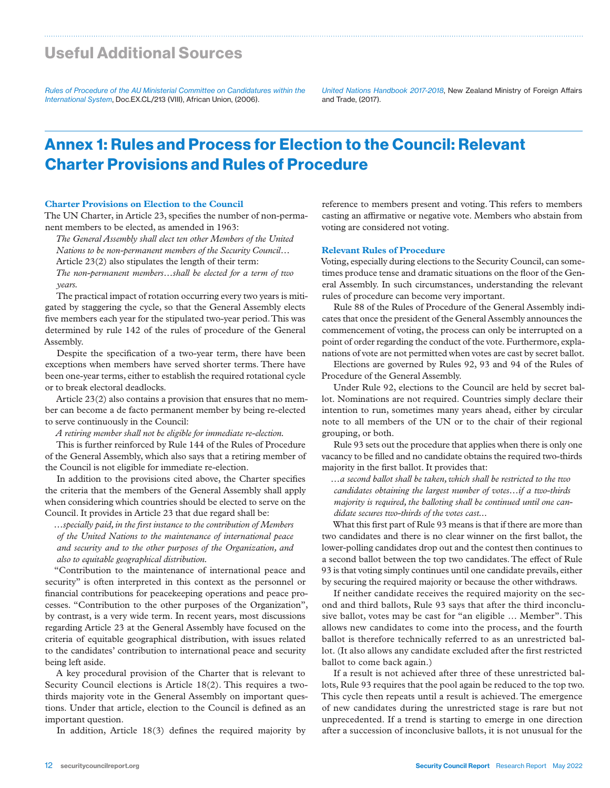### Useful Additional Sources

*Rules of Procedure of the AU Ministerial Committee on Candidatures within the International System*, Doc.EX.CL/213 (VIII), African Union, (2006).

*United Nations Handbook 2017-2018*, New Zealand Ministry of Foreign Affairs and Trade, (2017).

# Annex 1: Rules and Process for Election to the Council: Relevant Charter Provisions and Rules of Procedure

#### **Charter Provisions on Election to the Council**

The UN Charter, in Article 23, specifies the number of non-permanent members to be elected, as amended in 1963:

*The General Assembly shall elect ten other Members of the United Nations to be non-permanent members of the Security Council…* Article 23(2) also stipulates the length of their term: *The non-permanent members…shall be elected for a term of two years.* 

The practical impact of rotation occurring every two years is mitigated by staggering the cycle, so that the General Assembly elects five members each year for the stipulated two-year period. This was determined by rule 142 of the rules of procedure of the General Assembly.

Despite the specification of a two-year term, there have been exceptions when members have served shorter terms. There have been one-year terms, either to establish the required rotational cycle or to break electoral deadlocks.

Article 23(2) also contains a provision that ensures that no member can become a de facto permanent member by being re-elected to serve continuously in the Council:

*A retiring member shall not be eligible for immediate re-election.*

This is further reinforced by Rule 144 of the Rules of Procedure of the General Assembly, which also says that a retiring member of the Council is not eligible for immediate re-election.

In addition to the provisions cited above, the Charter specifies the criteria that the members of the General Assembly shall apply when considering which countries should be elected to serve on the Council. It provides in Article 23 that due regard shall be:

*…specially paid, in the first instance to the contribution of Members of the United Nations to the maintenance of international peace and security and to the other purposes of the Organization, and also to equitable geographical distribution.*

"Contribution to the maintenance of international peace and security" is often interpreted in this context as the personnel or financial contributions for peacekeeping operations and peace processes. "Contribution to the other purposes of the Organization", by contrast, is a very wide term. In recent years, most discussions regarding Article 23 at the General Assembly have focused on the criteria of equitable geographical distribution, with issues related to the candidates' contribution to international peace and security being left aside.

A key procedural provision of the Charter that is relevant to Security Council elections is Article 18(2). This requires a twothirds majority vote in the General Assembly on important questions. Under that article, election to the Council is defined as an important question.

In addition, Article 18(3) defines the required majority by

reference to members present and voting. This refers to members casting an affirmative or negative vote. Members who abstain from voting are considered not voting.

#### **Relevant Rules of Procedure**

Voting, especially during elections to the Security Council, can sometimes produce tense and dramatic situations on the floor of the General Assembly. In such circumstances, understanding the relevant rules of procedure can become very important.

Rule 88 of the Rules of Procedure of the General Assembly indicates that once the president of the General Assembly announces the commencement of voting, the process can only be interrupted on a point of order regarding the conduct of the vote. Furthermore, explanations of vote are not permitted when votes are cast by secret ballot.

Elections are governed by Rules 92, 93 and 94 of the Rules of Procedure of the General Assembly.

Under Rule 92, elections to the Council are held by secret ballot. Nominations are not required. Countries simply declare their intention to run, sometimes many years ahead, either by circular note to all members of the UN or to the chair of their regional grouping, or both.

Rule 93 sets out the procedure that applies when there is only one vacancy to be filled and no candidate obtains the required two-thirds majority in the first ballot. It provides that:

*…a second ballot shall be taken, which shall be restricted to the two candidates obtaining the largest number of votes…if a two-thirds majority is required, the balloting shall be continued until one candidate secures two-thirds of the votes cast...*

What this first part of Rule 93 means is that if there are more than two candidates and there is no clear winner on the first ballot, the lower-polling candidates drop out and the contest then continues to a second ballot between the top two candidates. The effect of Rule 93 is that voting simply continues until one candidate prevails, either by securing the required majority or because the other withdraws.

If neither candidate receives the required majority on the second and third ballots, Rule 93 says that after the third inconclusive ballot, votes may be cast for "an eligible … Member". This allows new candidates to come into the process, and the fourth ballot is therefore technically referred to as an unrestricted ballot. (It also allows any candidate excluded after the first restricted ballot to come back again.)

If a result is not achieved after three of these unrestricted ballots, Rule 93 requires that the pool again be reduced to the top two. This cycle then repeats until a result is achieved. The emergence of new candidates during the unrestricted stage is rare but not unprecedented. If a trend is starting to emerge in one direction after a succession of inconclusive ballots, it is not unusual for the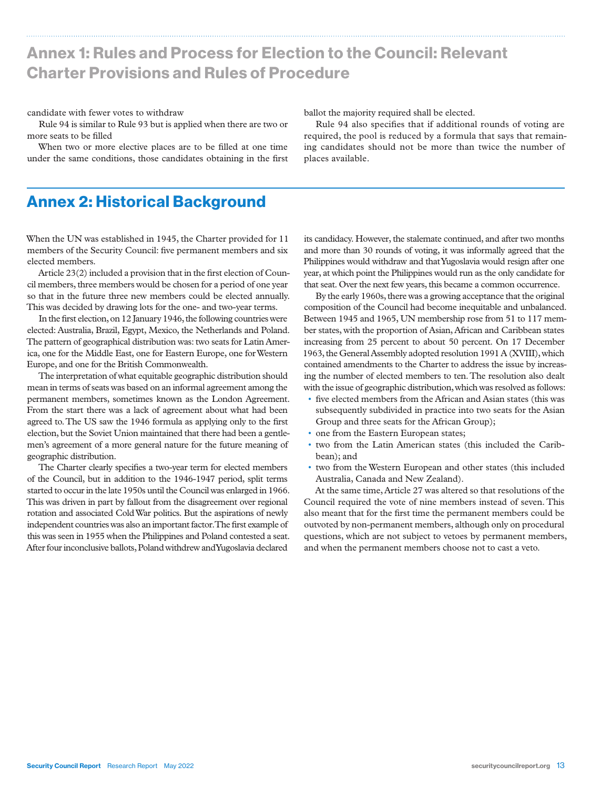# Annex 1: Rules and Process for Election to the Council: Relevant Charter Provisions and Rules of Procedure

#### candidate with fewer votes to withdraw

Rule 94 is similar to Rule 93 but is applied when there are two or more seats to be filled

When two or more elective places are to be filled at one time under the same conditions, those candidates obtaining in the first ballot the majority required shall be elected.

Rule 94 also specifies that if additional rounds of voting are required, the pool is reduced by a formula that says that remaining candidates should not be more than twice the number of places available.

### Annex 2: Historical Background

When the UN was established in 1945, the Charter provided for 11 members of the Security Council: five permanent members and six elected members.

Article 23(2) included a provision that in the first election of Council members, three members would be chosen for a period of one year so that in the future three new members could be elected annually. This was decided by drawing lots for the one- and two-year terms.

In the first election, on 12 January 1946, the following countries were elected: Australia, Brazil, Egypt, Mexico, the Netherlands and Poland. The pattern of geographical distribution was: two seats for Latin America, one for the Middle East, one for Eastern Europe, one for Western Europe, and one for the British Commonwealth.

The interpretation of what equitable geographic distribution should mean in terms of seats was based on an informal agreement among the permanent members, sometimes known as the London Agreement. From the start there was a lack of agreement about what had been agreed to. The US saw the 1946 formula as applying only to the first election, but the Soviet Union maintained that there had been a gentlemen's agreement of a more general nature for the future meaning of geographic distribution.

The Charter clearly specifies a two-year term for elected members of the Council, but in addition to the 1946-1947 period, split terms started to occur in the late 1950s until the Council was enlarged in 1966. This was driven in part by fallout from the disagreement over regional rotation and associated Cold War politics. But the aspirations of newly independent countries was also an important factor. The first example of this was seen in 1955 when the Philippines and Poland contested a seat. After four inconclusive ballots, Poland withdrew and Yugoslavia declared

its candidacy. However, the stalemate continued, and after two months and more than 30 rounds of voting, it was informally agreed that the Philippines would withdraw and that Yugoslavia would resign after one year, at which point the Philippines would run as the only candidate for that seat. Over the next few years, this became a common occurrence.

By the early 1960s, there was a growing acceptance that the original composition of the Council had become inequitable and unbalanced. Between 1945 and 1965, UN membership rose from 51 to 117 member states, with the proportion of Asian, African and Caribbean states increasing from 25 percent to about 50 percent. On 17 December 1963, the General Assembly adopted resolution 1991 A (XVIII), which contained amendments to the Charter to address the issue by increasing the number of elected members to ten. The resolution also dealt with the issue of geographic distribution, which was resolved as follows:

- five elected members from the African and Asian states (this was subsequently subdivided in practice into two seats for the Asian Group and three seats for the African Group);
- one from the Eastern European states;
- two from the Latin American states (this included the Caribbean); and
- two from the Western European and other states (this included Australia, Canada and New Zealand).

At the same time, Article 27 was altered so that resolutions of the Council required the vote of nine members instead of seven. This also meant that for the first time the permanent members could be outvoted by non-permanent members, although only on procedural questions, which are not subject to vetoes by permanent members, and when the permanent members choose not to cast a veto.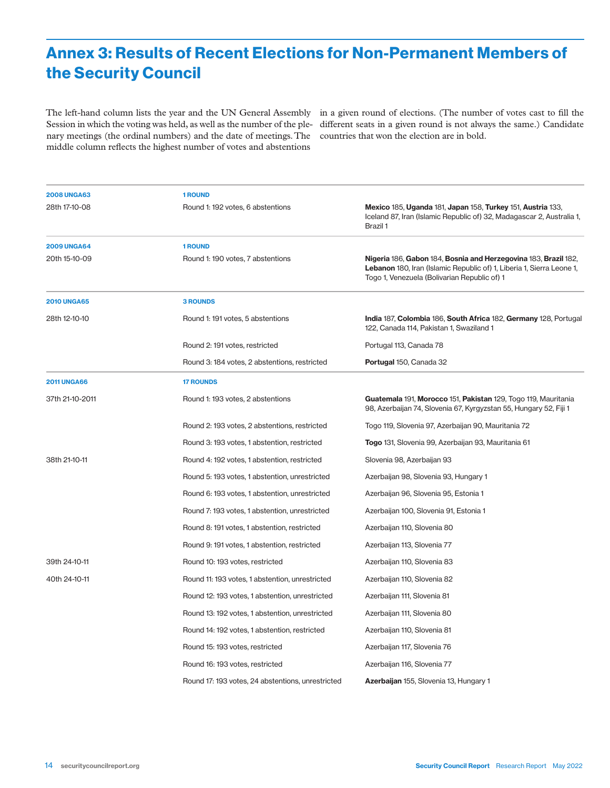# Annex 3: Results of Recent Elections for Non-Permanent Members of the Security Council

The left-hand column lists the year and the UN General Assembly in a given round of elections. (The number of votes cast to fill the Session in which the voting was held, as well as the number of the ple-different seats in a given round is not always the same.) Candidate nary meetings (the ordinal numbers) and the date of meetings. The countries that won the election are in bold. middle column reflects the highest number of votes and abstentions

| <b>2008 UNGA63</b> | <b>1 ROUND</b>                                    |                                                                                                                                                                                          |
|--------------------|---------------------------------------------------|------------------------------------------------------------------------------------------------------------------------------------------------------------------------------------------|
| 28th 17-10-08      | Round 1: 192 votes, 6 abstentions                 | Mexico 185, Uganda 181, Japan 158, Turkey 151, Austria 133,<br>Iceland 87, Iran (Islamic Republic of) 32, Madagascar 2, Australia 1,<br>Brazil 1                                         |
| <b>2009 UNGA64</b> | 1 ROUND                                           |                                                                                                                                                                                          |
| 20th 15-10-09      | Round 1: 190 votes, 7 abstentions                 | Nigeria 186, Gabon 184, Bosnia and Herzegovina 183, Brazil 182,<br>Lebanon 180, Iran (Islamic Republic of) 1, Liberia 1, Sierra Leone 1,<br>Togo 1, Venezuela (Bolivarian Republic of) 1 |
| <b>2010 UNGA65</b> | <b>3 ROUNDS</b>                                   |                                                                                                                                                                                          |
| 28th 12-10-10      | Round 1: 191 votes, 5 abstentions                 | India 187, Colombia 186, South Africa 182, Germany 128, Portugal<br>122, Canada 114, Pakistan 1, Swaziland 1                                                                             |
|                    | Round 2: 191 votes, restricted                    | Portugal 113, Canada 78                                                                                                                                                                  |
|                    | Round 3: 184 votes, 2 abstentions, restricted     | Portugal 150, Canada 32                                                                                                                                                                  |
| <b>2011 UNGA66</b> | <b>17 ROUNDS</b>                                  |                                                                                                                                                                                          |
| 37th 21-10-2011    | Round 1: 193 votes, 2 abstentions                 | Guatemala 191, Morocco 151, Pakistan 129, Togo 119, Mauritania<br>98, Azerbaijan 74, Slovenia 67, Kyrgyzstan 55, Hungary 52, Fiji 1                                                      |
|                    | Round 2: 193 votes, 2 abstentions, restricted     | Togo 119, Slovenia 97, Azerbaijan 90, Mauritania 72                                                                                                                                      |
|                    | Round 3: 193 votes, 1 abstention, restricted      | Togo 131, Slovenia 99, Azerbaijan 93, Mauritania 61                                                                                                                                      |
| 38th 21-10-11      | Round 4: 192 votes, 1 abstention, restricted      | Slovenia 98, Azerbaijan 93                                                                                                                                                               |
|                    | Round 5: 193 votes, 1 abstention, unrestricted    | Azerbaijan 98, Slovenia 93, Hungary 1                                                                                                                                                    |
|                    | Round 6: 193 votes, 1 abstention, unrestricted    | Azerbaijan 96, Slovenia 95, Estonia 1                                                                                                                                                    |
|                    | Round 7: 193 votes, 1 abstention, unrestricted    | Azerbaijan 100, Slovenia 91, Estonia 1                                                                                                                                                   |
|                    | Round 8: 191 votes, 1 abstention, restricted      | Azerbaijan 110, Slovenia 80                                                                                                                                                              |
|                    | Round 9: 191 votes, 1 abstention, restricted      | Azerbaijan 113, Slovenia 77                                                                                                                                                              |
| 39th 24-10-11      | Round 10: 193 votes, restricted                   | Azerbaijan 110, Slovenia 83                                                                                                                                                              |
| 40th 24-10-11      | Round 11: 193 votes, 1 abstention, unrestricted   | Azerbaijan 110, Slovenia 82                                                                                                                                                              |
|                    | Round 12: 193 votes, 1 abstention, unrestricted   | Azerbaijan 111, Slovenia 81                                                                                                                                                              |
|                    | Round 13: 192 votes, 1 abstention, unrestricted   | Azerbaijan 111, Slovenia 80                                                                                                                                                              |
|                    | Round 14: 192 votes, 1 abstention, restricted     | Azerbaijan 110, Slovenia 81                                                                                                                                                              |
|                    | Round 15: 193 votes, restricted                   | Azerbaijan 117, Slovenia 76                                                                                                                                                              |
|                    | Round 16: 193 votes, restricted                   | Azerbaijan 116, Slovenia 77                                                                                                                                                              |
|                    | Round 17: 193 votes, 24 abstentions, unrestricted | Azerbaijan 155, Slovenia 13, Hungary 1                                                                                                                                                   |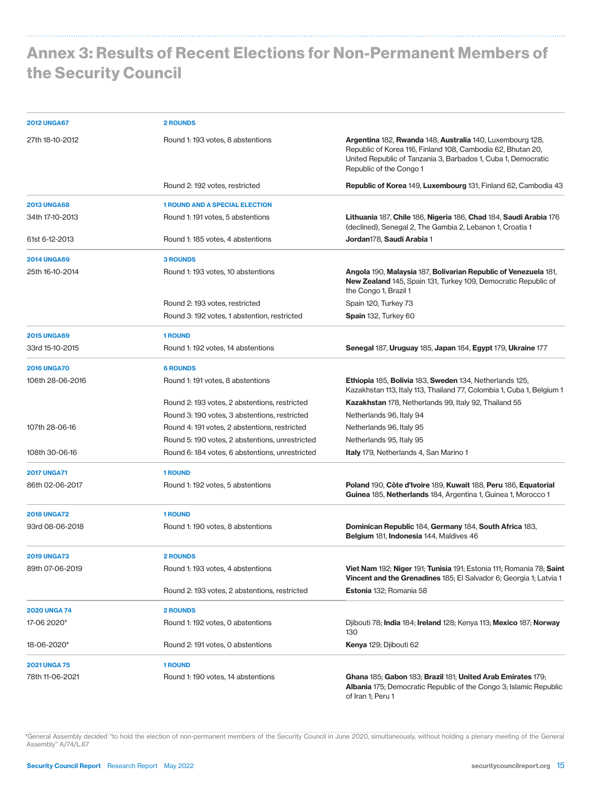# Annex 3: Results of Recent Elections for Non-Permanent Members of the Security Council

| <b>2012 UNGA67</b>  | <b>2 ROUNDS</b>                                 |                                                                                                                                                                                                                      |
|---------------------|-------------------------------------------------|----------------------------------------------------------------------------------------------------------------------------------------------------------------------------------------------------------------------|
| 27th 18-10-2012     | Round 1: 193 votes, 8 abstentions               | Argentina 182, Rwanda 148, Australia 140, Luxembourg 128,<br>Republic of Korea 116, Finland 108, Cambodia 62, Bhutan 20,<br>United Republic of Tanzania 3, Barbados 1, Cuba 1, Democratic<br>Republic of the Congo 1 |
|                     | Round 2: 192 votes, restricted                  | <b>Republic of Korea 149, Luxembourg 131, Finland 62, Cambodia 43</b>                                                                                                                                                |
| <b>2013 UNGA68</b>  | <b>1 ROUND AND A SPECIAL ELECTION</b>           |                                                                                                                                                                                                                      |
| 34th 17-10-2013     | Round 1: 191 votes, 5 abstentions               | Lithuania 187, Chile 186, Nigeria 186, Chad 184, Saudi Arabia 176<br>(declined), Senegal 2, The Gambia 2, Lebanon 1, Croatia 1                                                                                       |
| 61st 6-12-2013      | Round 1: 185 votes, 4 abstentions               | <b>Jordan</b> 178, <b>Saudi Arabia</b> 1                                                                                                                                                                             |
| <b>2014 UNGA69</b>  | <b>3 ROUNDS</b>                                 |                                                                                                                                                                                                                      |
| 25th 16-10-2014     | Round 1: 193 votes, 10 abstentions              | Angola 190, Malaysia 187, Bolivarian Republic of Venezuela 181,<br>New Zealand 145, Spain 131, Turkey 109, Democratic Republic of<br>the Congo 1, Brazil 1                                                           |
|                     | Round 2: 193 votes, restricted                  | Spain 120, Turkey 73                                                                                                                                                                                                 |
|                     | Round 3: 192 votes, 1 abstention, restricted    | Spain 132, Turkey 60                                                                                                                                                                                                 |
| <b>2015 UNGA69</b>  | <b>1 ROUND</b>                                  |                                                                                                                                                                                                                      |
| 33rd 15-10-2015     | Round 1: 192 votes, 14 abstentions              | Senegal 187, Uruguay 185, Japan 184, Egypt 179, Ukraine 177                                                                                                                                                          |
| <b>2016 UNGA70</b>  | <b>6 ROUNDS</b>                                 |                                                                                                                                                                                                                      |
| 106th 28-06-2016    | Round 1: 191 votes, 8 abstentions               | Ethiopia 185, Bolivia 183, Sweden 134, Netherlands 125,<br>Kazakhstan 113, Italy 113, Thailand 77, Colombia 1, Cuba 1, Belgium 1                                                                                     |
|                     | Round 2: 193 votes, 2 abstentions, restricted   | <b>Kazakhstan</b> 178, Netherlands 99, Italy 92, Thailand 55                                                                                                                                                         |
|                     | Round 3: 190 votes, 3 abstentions, restricted   | Netherlands 96, Italy 94                                                                                                                                                                                             |
| 107th 28-06-16      | Round 4: 191 votes, 2 abstentions, restricted   | Netherlands 96, Italy 95                                                                                                                                                                                             |
|                     | Round 5: 190 votes, 2 abstentions, unrestricted | Netherlands 95, Italy 95                                                                                                                                                                                             |
| 108th 30-06-16      | Round 6: 184 votes, 6 abstentions, unrestricted | <b>Italy</b> 179, Netherlands 4, San Marino 1                                                                                                                                                                        |
| <b>2017 UNGA71</b>  | <b>1 ROUND</b>                                  |                                                                                                                                                                                                                      |
| 86th 02-06-2017     | Round 1: 192 votes, 5 abstentions               | Poland 190, Côte d'Ivoire 189, Kuwait 188, Peru 186, Equatorial<br>Guinea 185, Netherlands 184, Argentina 1, Guinea 1, Morocco 1                                                                                     |
| <b>2018 UNGA72</b>  | <b>1 ROUND</b>                                  |                                                                                                                                                                                                                      |
| 93rd 08-06-2018     | Round 1: 190 votes, 8 abstentions               | Dominican Republic 184, Germany 184, South Africa 183,<br>Belgium 181, Indonesia 144, Maldives 46                                                                                                                    |
| 2019 UNGA73         | <b>2 ROUNDS</b>                                 |                                                                                                                                                                                                                      |
| 89th 07-06-2019     | Round 1: 193 votes, 4 abstentions               | Viet Nam 192; Niger 191; Tunisia 191; Estonia 111; Romania 78; Saint<br>Vincent and the Grenadines 185; El Salvador 6; Georgia 1; Latvia 1                                                                           |
|                     | Round 2: 193 votes, 2 abstentions, restricted   | Estonia 132; Romania 58                                                                                                                                                                                              |
| <b>2020 UNGA 74</b> | 2 ROUNDS                                        |                                                                                                                                                                                                                      |
| 17-06 2020*         | Round 1: 192 votes, 0 abstentions               | Diibouti 78; India 184; Ireland 128; Kenya 113; Mexico 187; Norway<br>130                                                                                                                                            |
| 18-06-2020*         | Round 2: 191 votes, 0 abstentions               | Kenya 129; Djibouti 62                                                                                                                                                                                               |
| <b>2021 UNGA 75</b> | <b>1 ROUND</b>                                  |                                                                                                                                                                                                                      |
| 78th 11-06-2021     | Round 1: 190 votes, 14 abstentions              | Ghana 185; Gabon 183; Brazil 181; United Arab Emirates 179;<br><b>Albania</b> 175; Democratic Republic of the Congo 3; Islamic Republic<br>of Iran 1; Peru 1                                                         |

\*General Assembly decided "to hold the election of non-permanent members of the Security Council in June 2020, simultaneously, without holding a plenary meeting of the General Assembly" A/74/L.67